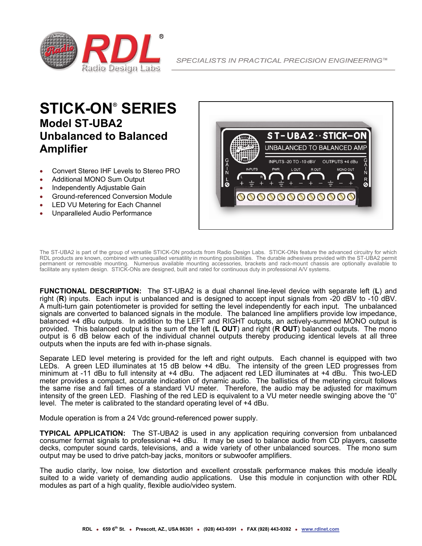

## **STICK-ON® SERIES Model ST-UBA2 Unbalanced to Balanced Amplifier**

- Convert Stereo IHF Levels to Stereo PRO
- Additional MONO Sum Output
- Independently Adjustable Gain
- Ground-referenced Conversion Module
- LED VU Metering for Each Channel
- Unparalleled Audio Performance



The ST-UBA2 is part of the group of versatile STICK-ON products from Radio Design Labs. STICK-ONs feature the advanced circuitry for which RDL products are known, combined with unequalled versatility in mounting possibilities. The durable adhesives provided with the ST-UBA2 permit permanent or removable mounting. Numerous available mounting accessories, brackets and rack-mount chassis are optionally available to facilitate any system design. STICK-ONs are designed, built and rated for continuous duty in professional A/V systems.

**FUNCTIONAL DESCRIPTION:** The ST-UBA2 is a dual channel line-level device with separate left (**L**) and right (**R**) inputs. Each input is unbalanced and is designed to accept input signals from -20 dBV to -10 dBV. A-multi-turn gain potentiometer is provided for setting the level independently for each input. The unbalanced signals are converted to balanced signals in the module. The balanced line amplifiers provide low impedance, balanced +4 dBu outputs. In addition to the LEFT and RIGHT outputs, an actively-summed MONO output is provided. This balanced output is the sum of the left (**L OUT**) and right (**R OUT**) balanced outputs. The mono output is 6 dB below each of the individual channel outputs thereby producing identical levels at all three outputs when the inputs are fed with in-phase signals.

Separate LED level metering is provided for the left and right outputs. Each channel is equipped with two LEDs. A green LED illuminates at 15 dB below +4 dBu. The intensity of the green LED progresses from minimum at -11 dBu to full intensity at +4 dBu. The adjacent red LED illuminates at +4 dBu. This two-LED meter provides a compact, accurate indication of dynamic audio. The ballistics of the metering circuit follows the same rise and fall times of a standard VU meter. Therefore, the audio may be adjusted for maximum intensity of the green LED. Flashing of the red LED is equivalent to a VU meter needle swinging above the "0" level. The meter is calibrated to the standard operating level of +4 dBu.

Module operation is from a 24 Vdc ground-referenced power supply.

**TYPICAL APPLICATION:** The ST-UBA2 is used in any application requiring conversion from unbalanced consumer format signals to professional +4 dBu. It may be used to balance audio from CD players, cassette decks, computer sound cards, televisions, and a wide variety of other unbalanced sources. The mono sum output may be used to drive patch-bay jacks, monitors or subwoofer amplifiers.

The audio clarity, low noise, low distortion and excellent crosstalk performance makes this module ideally suited to a wide variety of demanding audio applications. Use this module in conjunction with other RDL modules as part of a high quality, flexible audio/video system.